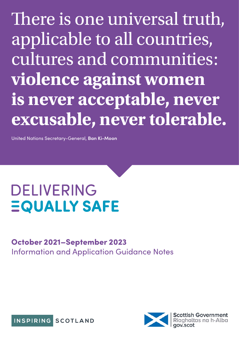There is one universal truth, applicable to all countries, cultures and communities: **violence against women is never acceptable, never excusable, never tolerable.**

United Nations Secretary-General, **Ban Ki-Moon**

# **DELIVERING EQUALLY SAFE**

# October 2021–September 2023 Information and Application Guidance Notes



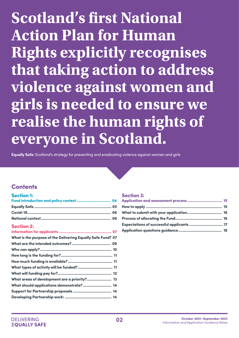# **Scotland's first National Action Plan for Human Rights explicitly recognises that taking action to address violence against women and girls is needed to ensure we realise the human rights of everyone in Scotland.**

**Equally Safe:** Scotland's strategy for preventing and eradicating violence against women and girls

# **Contents**

| <b>Section 1:</b>                                           |
|-------------------------------------------------------------|
|                                                             |
|                                                             |
|                                                             |
|                                                             |
| <b>Section 2:</b>                                           |
|                                                             |
| What is the purpose of the Delivering Equally Safe Fund? 07 |
|                                                             |
|                                                             |
|                                                             |
|                                                             |
|                                                             |
|                                                             |
| What areas of development are a priority? 13                |
| What should applications demonstrate?  14                   |
|                                                             |
|                                                             |

### [Section 3:](#page-14-0)

| Expectations of successful applicants  17 |  |
|-------------------------------------------|--|
|                                           |  |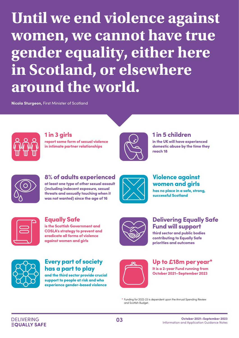# **AP AND** gender equality, either here **domestic abuse by the time**  in Scotland, or elsewhere around the world. **at least one throat of other sexual associates and sexual to the age of the age of the age of 16.**<br> **at least of the age of 16.**<br> **at least of the age of 16.**<br> **and 16.**<br> **and 16.**<br> **and Universe against Concernight:**<br> **a women, we cannot have true**

**Nicola Sturgeon,** First Minister of Scotland



1 in 3 girls report some form of sexual violence<br>**in intimate partner relationships violence in intimate partner October 2021 – September 2024** in intimate partner relationships **1 in 3 girls**<br>report some form of sexual violence<br>in intimate partner relationships<br>8% of adults experien<br>at least one type of other sexual as<br>(including indecent exposure, sexual threats and sexually touching whe<br>was not

**violence against women and girls**



# 1 in 5 children 1 in 5 children 1 in 3 girls in 5 children 1 in 5 children

**in the UK will have experienced will have experienced report some form of sexual**  in the UK will have experienced domestic abuse by the time they **they reach 18 they reach 18relationships** reach 18



8% of adults experienced at least one type of other sexual assault **violence in intimate partner assault (including indecent domestic abuse by the time**  (including indecent exposure, sexual

threats and sexually touching when it



# Violence against **is so prevent and girls**<br> **in the UK will have experienced**

**has no place in a safe, strong, and eradicate all forms of and eradicate all forms of strong, successful Scotland they reach 18 and eradicate all forms of**  successful Scotland



**Equally Safe Equally Safe**<br>is the Scottish Government and<br>**COOL W** 

**has including indecent exposure**<br> **has no place in the place of place**  $\mathbf{h}$ **strong with the sexually fully integrated** 

**the sector sector sector and prevent and sector and**  $\boldsymbol{\epsilon}$ **cruditure difful Scotland Scotland Scotland**<br>Contribution and sine in the strong section of the strong section of the strong section of the strong section of **priorities and outcomes Equally Safe**<br>
is the Scottish Government and<br>
cosLA's strategy to prevent and<br>
eradicate all forms of violence<br>
against women and girls<br> **Every part of society<br>
has a part to play**<br>
and the third sector provide crucial<br> **priorities and outcomes COSLA's strategy to prevent**  COSLA's strategy to prevent and **and eradicate all forms of**  eradicate all forms of violence **violence against women and girls** against women and girls



# Delivering Equally Safe **Fund will support Violence against<br>women and girls**<br>has no place in a safe, strong,<br>successful Scotland<br>**Delivering Equally Safe**<br>**Fund will support**<br>third sector and public bodies<br>contributing to Equally Safe<br>priorities and outcomes<br>**Up**

**third sector and public bodies contributing to Equally Safe and eradicate all forms of**  contributing to Equally Safe priorities and outcomes



Every part of society **has a part to play** 

and the third sector provide crucial<br>support to people at risk and who **people at risk and who experience contributing to Equally Safe**  support to people at risk and who **gender-based violence priorities and outcomes**  experience gender-based violence

**has a part to play and the third** 



# Up to £18m per year\*

**at least one type of other sexual at one type of other sexual has a part to play and the third It is a 3-year Fund running from**  It is a 2-year Fund running from **assault (including indecent assault (including indecent sector provide crucial support to October 2021 – September 2024** October 2021–September 2023

\* Funding for 2022-23 is dependent upon the Annual Spending Review and Scottish Budget.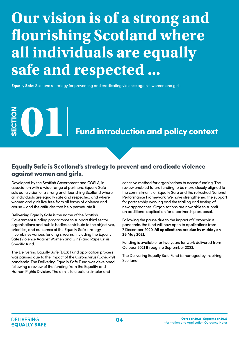# <span id="page-3-0"></span>**Our vision is of a strong and flourishing Scotland where all individuals are equally safe and respected ...**

**Equally Safe:** Scotland's strategy for preventing and eradicating violence against women and girls

# **SECTION OF SECTION 2018**<br>The Fund introduction and policy context

# Equally Safe is Scotland's strategy to prevent and eradicate violence against women and girls.

Developed by the Scottish Government and COSLA, in association with a wide range of partners, Equally Safe sets out a vision of a strong and flourishing Scotland where all individuals are equally safe and respected, and where women and girls live free from all forms of violence and abuse – and the attitudes that help perpetuate it.

**Delivering Equally Safe** is the name of the Scottish Government funding programme to support third sector organisations and public bodies contribute to the objectives, priorities, and outcomes of the Equally Safe strategy. It combines various funding streams, including the Equally Safe (Violence Against Women and Girls) and Rape Crisis Specific fund.

The Delivering Equally Safe (DES) Fund application process was paused due to the impact of the Coronavirus (Covid-19) pandemic. The Delivering Equally Safe Fund was developed following a review of the funding from the Equality and Human Rights Division. The aim is to create a simpler and

cohesive method for organisations to access funding. The review enabled future funding to be more closely aligned to the commitments of Equally Safe and the refreshed National Performance Framework. We have strengthened the support for partnership working and the trialling and testing of new approaches. Organisations are now able to submit an additional application for a partnership proposal.

Following the pause due to the impact of Coronavirus pandemic, the fund will now open to applications from 7 December 2020. **All applications are due by midday on 28 May 2021.** 

Funding is available for two years for work delivered from October 2021 through to September 2023.

The Delivering Equally Safe Fund is managed by Inspiring Scotland.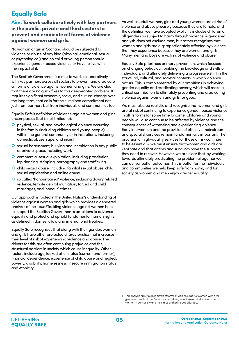# <span id="page-4-0"></span>Equally Safe

### Aim: To work collaboratively with key partners in the public, private and third sectors to prevent and eradicate all forms of violence against women and girls.

No woman or girl in Scotland should be subjected to violence or abuse of any kind (physical, emotional, sexual or psychological) and no child or young person should experience gender-based violence or have to live with the impact of it.

The Scottish Government's aim is to work collaboratively with key partners across all sectors to prevent and eradicate all forms of violence against women and girls. We are clear that there are no quick fixes to this deep-rooted problem. It requires significant economic, social, and cultural change over the long term, that calls for the sustained commitment not just from partners but from individuals and communities too.

Equally Safe's definition of violence against women and girls encompasses (but is not limited to):

- physical, sexual, and psychological violence occurring in the family (including children and young people), within the general community or in institutions, including domestic abuse, rape, and incest
- **O** sexual harassment, bullying and intimidation in any public or private space, including work
- **O** commercial sexual exploitation, including prostitution, lap dancing, stripping, pornography and trafficking
- **O** child sexual abuse, including familial sexual abuse, child sexual exploitation and online abuse
- so called 'honour based' violence, including dowry related violence, female genital mutilation, forced and child marriages, and 'honour' crimes

Our approach is rooted in the United Nation's understanding of violence against women and girls which provides a gendered analysis of the issue.1 Tackling violence against women helps to support the Scottish Government's ambitions to advance equality and protect and uphold fundamental human rights, as defined in domestic law and international treaties.

Equally Safe recognises that along with their gender, women and girls have other protected characteristics that increases their level of risk of experiencing violence and abuse. The drivers for this are often continuing prejudice and the structural barriers in society which cause inequality. Other factors include age, looked after status (current and former), financial dependence, experience of child abuse and neglect, poverty, disability, homelessness, insecure immigration status and ethnicity.

As well as adult women, girls and young women are at risk of violence and abuse precisely because they are female, and the definition we have adopted explicitly includes children of all genders as subject to harm through violence. A gendered analysis does not exclude men, but rather recognises that women and girls are disproportionately affected by violence that they experience because they are women and girls. Many men and boys are victims of violence and abuse.

Equally Safe prioritises primary prevention, which focuses on changing behaviour, building the knowledge and skills of individuals, and ultimately delivering a progressive shift in the structural, cultural, and societal contexts in which violence occurs. This is complemented by our ambitions in achieving gender equality and eradicating poverty, which will make a critical contribution to ultimately preventing and eradicating violence against women and girls for good.

We must also be realistic and recognise that women and girls are at risk of continuing to experience gender-based violence in all its forms for some time to come. Children and young people will also continue to be affected by violence and the consequences of witnessing and experiencing violence. Early intervention and the provision of effective mainstream and specialist services remain fundamentally important. The provision of high-quality services for those at risk continue to be essential – we must ensure that women and girls are kept safe and that victims and survivors have the support they need to recover. However, we are clear that, by working towards ultimately eradicating the problem altogether we can deliver better outcomes. This is better for the individuals and communities we help keep safe from harm, and for society as women and men enjoy greater equality.

**<sup>1.</sup>** This analysis firmly places different forms of violence against women within the gendered reality of men's and women's lives, what it means to be a man and women in our society and the status and privileges afforded.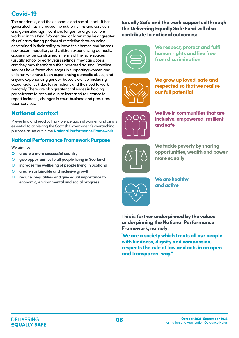# <span id="page-5-0"></span>Covid-19

The pandemic, and the economic and social shocks it has generated, has increased the risk to victims and survivors and generated significant challenges for organisations working in this field. Women and children may be at greater risk of harm during periods of restriction through being constrained in their ability to leave their homes and/or seek new accommodation, and children experiencing domestic abuse may be constrained in terms of the 'safe spaces' (usually school or early years settings) they can access, and they may therefore suffer increased trauma. Frontline services have faced challenges in supporting women and children who have been experiencing domestic abuse, and anyone experiencing gender-based violence (including sexual violence), due to restrictions and the need to work remotely. There are also greater challenges in holding perpetrators to account due to increased reluctance to report incidents, changes in court business and pressures upon services.

# National context

Preventing and eradicating violence against women and girls is essential to achieving the Scottish Government's overarching purpose as set out in the **[National Performance Framework](https://nationalperformance.gov.scot/)**.

### National Performance Framework Purpose

**We aim to:** 

- **create a more successful country**
- **give opportunities to all people living in Scotland**
- **increase the wellbeing of people living in Scotland**
- **create sustainable and inclusive growth**
- **reduce inequalities and give equal importance to economic, environmental and social progress**

### Equally Safe and the work supported through the Delivering Equally Safe Fund will also contribute to national outcomes:



We respect, protect and fulfil human rights and live free from discrimination



We grow up loved, safe and respected so that we realise our full potential



We live in communities that are inclusive, empowered, resilient and safe



We tackle poverty by sharing opportunities, wealth and power more equally



We are healthy and active

This is further underpinned by the values underpinning the National Performance Framework, namely:

"We are a society which treats all our people with kindness, dignity and compassion, respects the rule of law and acts in an open and transparent way."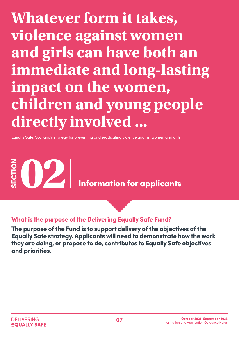<span id="page-6-0"></span>**Whatever form it takes, violence against women and girls can have both an immediate and long-lasting impact on the women, children and young people directly involved ...**

**Equally Safe:** Scotland's strategy for preventing and eradicating violence against women and girls

SECTION **02** Information for applicants

What is the purpose of the Delivering Equally Safe Fund?

The purpose of the Fund is to support delivery of the objectives of the Equally Safe strategy. Applicants will need to demonstrate how the work they are doing, or propose to do, contributes to Equally Safe objectives and priorities.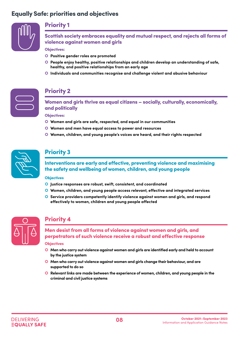# Equally Safe: priorities and objectives



## Priority 1

Scottish society embraces equality and mutual respect, and rejects all forms of violence against women and girls

Objectives:

- **Positive gender roles are promoted**
- **People enjoy healthy, positive relationships and children develop an understanding of safe, healthy, and positive relationships from an early age**
- **Individuals and communities recognise and challenge violent and abusive behaviour**



# Priority 2

Women and girls thrive as equal citizens – socially, culturally, economically, and politically

Objectives:

- **Women and girls are safe, respected, and equal in our communities**
- **Women and men have equal access to power and resources**
- **Women, children, and young people's voices are heard, and their rights respected**



# Priority 3

Interventions are early and effective, preventing violence and maximising the safety and wellbeing of women, children, and young people

### **Objectives**

- **Justice responses are robust, swift, consistent, and coordinated**
- **Women, children, and young people access relevant, effective and integrated services**
- **Service providers competently identify violence against women and girls, and respond effectively to women, children and young people affected**



# Priority 4

Men desist from all forms of violence against women and girls, and perpetrators of such violence receive a robust and effective response

### **Objectives**

- **Men who carry out violence against women and girls are identified early and held to account by the justice system**
- **Men who carry out violence against women and girls change their behaviour, and are supported to do so**
- **Relevant links are made between the experience of women, children, and young people in the criminal and civil justice systems**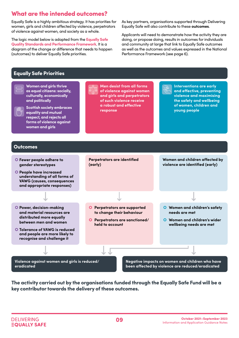# <span id="page-8-0"></span>What are the intended outcomes?

Equally Safe is a highly ambitious strategy. It has priorities for women, girls and children affected by violence, perpetrators of violence against women, and society as a whole.

The logic model below is adapted from the **[Equally Safe](https://www.improvementservice.org.uk/__data/assets/pdf_file/0030/9669/equally-safe-quality-standards-performance-framework.pdf)  [Quality Standards and Performance Framework](https://www.improvementservice.org.uk/__data/assets/pdf_file/0030/9669/equally-safe-quality-standards-performance-framework.pdf)**. It is a diagram of the change or difference that needs to happen (outcomes) to deliver Equally Safe priorities.

As key partners, organisations supported through Delivering Equally Safe will also contribute to these **outcomes**.

Applicants will need to demonstrate how the activity they are doing, or propose doing, results in outcomes for individuals and community at large that link to Equally Safe outcomes as well as the outcomes and values expressed in the National Performance Framework (see page 6).

### Equally Safe Priorities



The activity carried out by the organisations funded through the Equally Safe Fund will be a key contributor towards the delivery of these outcomes.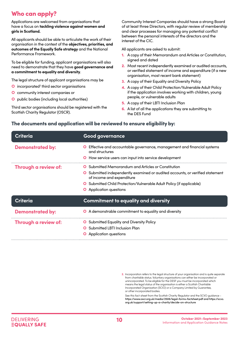# <span id="page-9-0"></span>Who can apply?

Applications are welcomed from organisations that have a focus on **tackling violence against women and girls in Scotland.** 

All applicants should be able to articulate the work of their organisation in the context of the **objectives, priorities, and outcomes of the Equally Safe strategy** and the National Performance Framework.

To be eligible for funding, applicant organisations will also need to demonstrate that they have **good governance and a commitment to equality and diversity**.

The legal structure of applicant organisations may be

- **O** incorporated<sup>2</sup> third sector organisations
- **O** community interest companies or
- **O** public bodies (including local authorities)

Third sector organisations should be registered with the Scottish Charity Regulator (OSCR).

Community Interest Companies should have a strong Board of at least three Directors, with regular review of membership and clear processes for managing any potential conflict between the personal interests of the directors and the interest of the CIC.

All applicants are asked to submit:

- 1. A copy of their Memorandum and Articles or Constitution, signed and dated
- 2. Most recent independently examined or audited accounts, or verified statement of income and expenditure (if a new organisation, most recent bank statement)
- 3. A copy of their Equality and Diversity Policy
- 4. A copy of their Child Protection/Vulnerable Adult Policy if the application involves working with children, young people, or vulnerable adults
- 5. A copy of their LBTI Inclusion Plan
- **6.** A list of all the applications they are submitting to the DES Fund

### The documents and application will be reviewed to ensure eligibility by:

| Criteria                | <b>Good governance</b>                                                                                   |
|-------------------------|----------------------------------------------------------------------------------------------------------|
| <b>Demonstrated by:</b> | Effective and accountable governance, management and financial systems<br>$\mathbf{o}$<br>and structures |
|                         | <b>O</b> How service users can input into service development                                            |
| Through a review of:    | Submitted Memorandum and Articles or Constitution<br>O                                                   |
|                         | Submitted independently examined or audited accounts, or verified statement<br>of income and expenditure |
|                         | <b>O</b> Submitted Child Protection/Vulnerable Adult Policy (if applicable)                              |
|                         | <b>O</b> Application questions                                                                           |
| <b>Criteria</b>         | <b>Commitment to equality and diversity</b>                                                              |
| <b>Demonstrated by:</b> | O A demonstrable commitment to equality and diversity                                                    |
| Through a review of:    | <b>O</b> Submitted Equality and Diversity Policy                                                         |
|                         | <b>O</b> Submitted LBTI Inclusion Plan                                                                   |
|                         | <b>O</b> Application questions                                                                           |

**2.** Incorporation refers to the legal structure of your organisation and is quite separate from charitable status. Voluntary organisations can either be incorporated or unincorporated. To be eligible for the DESF you must be incorporated which means the legal status of the organisation is either a Scottish Charitable Incorporated Organisation (SCIO) or a Company Limited by Guarantee, or other incorporated bodies.

See this fact-sheet from the Scottish Charity Regulator and the SCVO guidance https://www.oscr.org.uk/media/2506/legal-forms-factsheet.pdf and https://scvo. org.uk/support/setting-up-a-charity/decide-on-structure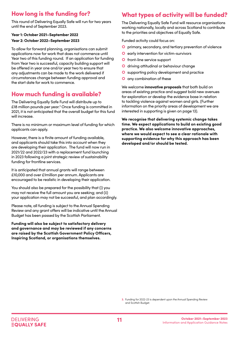# <span id="page-10-0"></span>How long is the funding for?

This round of Delivering Equally Safe will run for two years until the end of September 2023.

### **Year 1: October 2021–September 2022**

### **Year 2: October 2022–September 2023**

To allow for forward planning, organisations can submit applications now for work that does not commence until Year two of this funding round. If an application for funding from Year two is successful, capacity building support will be offered in year one and/or year two to ensure that any adjustments can be made to the work delivered if circumstances change between funding approval and the start date for work to commence.

# How much funding is available?

The Delivering Equally Safe Fund will distribute up to £18 million pounds per year.<sup>3</sup> Once funding is committed in 2021, it is not anticipated that the overall budget for this fund will increase.

There is no minimum or maximum level of funding for which applicants can apply.

However, there is a finite amount of funding available, and applicants should take this into account when they are developing their application. The fund will now run in 2021/22 and 2022/23 with a replacement fund launching in 2023 following a joint strategic review of sustainability funding for frontline services.

It is anticipated that annual grants will range between £10,000 and over £1million per annum. Applicants are encouraged to be realistic in developing their application.

You should also be prepared for the possibility that (i) you may not receive the full amount you are seeking; and (ii) your application may not be successful, and plan accordingly.

Please note, all funding is subject to the Annual Spending Review and any grant offers will be indicative until the Annual Budget has been passed by the Scottish Parliament.

**Funding will also be subject to satisfactory delivery and governance and may be reviewed if any concerns are raised by the Scottish Government Policy Officers, Inspiring Scotland, or organisations themselves.** 

# What types of activity will be funded?

The Delivering Equally Safe Fund will resource organisations working nationally, locally and across Scotland to contribute to the priorities and objectives of Equally Safe.

Funded activity could focus on:

- **O** primary, secondary, and tertiary prevention of violence
- **O** early intervention for victim-survivors
- **O** front-line service support
- **O** driving attitudinal or behaviour change
- **O** supporting policy development and practice
- **O** any combination of these

We welcome **innovative proposals** that both build on areas of existing practice and suggest bold new avenues for exploration or develop the evidence base in relation to tackling violence against women and girls. (Further information on the priority areas of development we are interested in supporting is given on page 13).

**We recognise that delivering systemic change takes time. We expect applications to build on existing good practice. We also welcome innovative approaches, where we would expect to see a clear rationale with supporting evidence for why this approach has been developed and/or should be tested.**

**3.** Funding for 2022-23 is dependent upon the Annual Spending Review and Scottish Budget.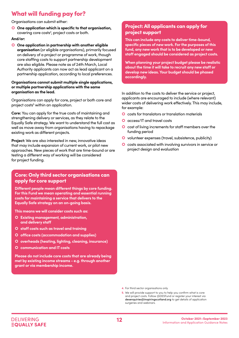# <span id="page-11-0"></span>What will funding pay for?

Organisations can submit either:

 **One application which is specific to that organisation,**  covering core costs<sup>4</sup>, project costs or both.

### **And/or:**

 **One application in partnership with another eligible organisation** (or eligible organisations), primarily focused on delivery of a project or programme of work, though core staffing costs to support partnership development are also eligible. Please note as of 24th March, Local Authority applicants can now act as lead applicant on a partnership application, according to local preferences.

#### **Organisations cannot submit multiple single applications, or multiple partnership applications with the same organisation as the lead.**

Organisations can apply for core, project or both core and project costs<sup>5</sup> within an application.

**Core:** You can apply for the true costs of maintaining and strengthening delivery or services, as they relate to the Equally Safe strategy. We want to understand the full cost as well as move away from organisations having to repackage existing work as different projects.

**Project:** We are also interested in new, innovative ideas that may include expansion of current work, or pilot new approaches. New pieces of work that are time-bound or are testing a different way of working will be considered for project funding.

### Core: Only third sector organisations can apply for core support

**Different people mean different things by core funding. For this Fund we mean operating and essential running costs for maintaining a service that delivers to the Equally Safe strategy on an on-going basis.** 

**This means we will consider costs such as:**

- **Existing management, administration, and delivery staff**
- **staff costs such as travel and training**
- **office costs (accommodation and supplies)**
- **O** overheads (heating, lighting, cleaning, insurance)
- **communication and IT costs**

**Please do not include core costs that are already being met by existing income streams - e.g. through another grant or via membership income.**

## Project: All applicants can apply for project support

**This can include any costs to deliver time-bound, specific pieces of new work. For the purposes of this fund, any new work that is to be developed or new staff engaged should be considered as project costs.** 

**When planning your project budget please be realistic about the time it will take to recruit any new staff or develop new ideas. Your budget should be phased accordingly.** 

In addition to the costs to deliver the service or project, applicants are encouraged to include (where relevant) wider costs of delivering work effectively. This may include, for example:

- **O** costs for translators or translation materials
- **O** access/IT and travel costs
- **O** cost of living increments for staff members over the funding period
- **O** volunteer expenses (travel, subsistence, publicity)
- **O** costs associated with involving survivors in service or project design and evaluation

**4.** For third sector organisations only

**5.** We will provide support to you to help you confirm what is core and project costs. Follow @DESFund or register your interest via desenquiries@inspiringscotland.org to get details of application surgeries and webinars.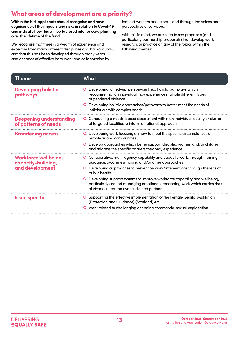# <span id="page-12-0"></span>What areas of development are a priority?

**Within the bid, applicants should recognise and have cognisance of the impacts and risks in relation to Covid-19 and indicate how this will be factored into forward planning over the lifetime of the fund.**

We recognise that there is a wealth of experience and expertise from many different disciplines and backgrounds, and that this has been developed through many years and decades of effective hard work and collaboration by

feminist workers and experts and through the voices and perspectives of survivors.

With this in mind, we are keen to see proposals (and particularly partnership proposals) that develop work, research, or practice on any of the topics within the following themes:

| Theme                                                  | What                                                                                                                                                                                                                                   |
|--------------------------------------------------------|----------------------------------------------------------------------------------------------------------------------------------------------------------------------------------------------------------------------------------------|
| <b>Developing holistic</b><br>pathways                 | Developing joined-up, person-centred, holistic pathways which<br>recognise that an individual may experience multiple different types<br>of gendered violence<br>O Developing holistic approaches/pathways to better meet the needs of |
|                                                        | individuals with complex needs                                                                                                                                                                                                         |
| <b>Deepening understanding</b><br>of patterns of needs | O Conducting a needs-based assessment within an individual locality or cluster<br>of targeted localities to inform a national approach                                                                                                 |
| <b>Broadening access</b>                               | <b>O</b> Developing work focusing on how to meet the specific circumstances of<br>remote/island communities                                                                                                                            |
|                                                        | O Develop approaches which better support disabled women and/or children<br>and address the specific barriers they may experience                                                                                                      |
| Workforce wellbeing,<br>capacity-building,             | O Collaborative, multi-agency capability and capacity work, through training,<br>guidance, awareness raising and/or other approaches                                                                                                   |
| and development                                        | Developing approaches to prevention work/interventions through the lens of<br>public health                                                                                                                                            |
|                                                        | Developing support systems to improve workforce capability and wellbeing,<br>particularly around managing emotional demanding work which carries risks<br>of vicarious trauma over sustained periods                                   |
| <b>Issue specific</b>                                  | <b>O</b> Supporting the effective implementation of the Female Genital Mutilation<br>(Protection and Guidance) (Scotland) Act                                                                                                          |
|                                                        | Work related to challenging or ending commercial sexual exploitation                                                                                                                                                                   |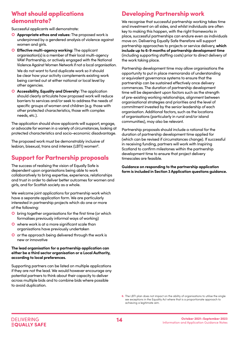# <span id="page-13-0"></span>What should applications demonstrate?

Successful applicants will demonstrate:

- **Appropriate ethos and values:** The proposed work is underpinned by a gendered analysis of violence against women and airls.
- **Effective multi-agency working:** The applicant organisation(s) is a member of their local multi-agency VAW Partnership, or actively engaged with the National Violence Against Women Network if not a local organisation.

We do not want to fund duplicate work so it should be clear how your activity complements existing work being carried out at either national or local level by other agencies.

**O** Accessibility, Equality and Diversity: The application should clearly articulate how proposed work will reduce barriers to services and/or seek to address the needs of specific groups of women and children (e.g. those with other protected characteristics, those with complex needs, etc.).

The application should show applicants will support, engage, or advocate for women in a variety of circumstances, looking at protected characteristics and socio-economic disadvantage.

The proposed work must be demonstrably inclusive of lesbian, bisexual, trans and intersex (LBTI) women<sup>6</sup>.

# Support for Partnership proposals

The success of realising the vision of Equally Safe is dependent upon organisations being able to work collaboratively to bring expertise, experience, relationships and trust in order to deliver better outcomes for women and girls, and for Scottish society as a whole.

We welcome joint applications for partnership work which have a separate application form. We are particularly interested in partnership projects which do one or more of the following:

- **O** bring together organisations for the first time (or which formalises previously informal ways of working)
- where work is at a more significant scale than organisations have previously undertaken
- O or the approach being delivered through the work is new or innovative

### **The lead organisation for a partnership application can either be a third sector organisation or a Local Authority, according to local preferences.**

Supporting partners can be listed on multiple applications if they are not the lead. We would however encourage any potential partners to think about their capacity to deliver across multiple bids and to combine bids where possible to avoid duplication.

# Developing Partnership work

We recognise that successful partnership working takes time and investment on all sides, and whilst individuals are often key to making this happen, with the right frameworks in place, successful partnerships can endure even as individuals move on. Delivering Equally Safe therefore will support partnership approaches to projects or service delivery, **which include up to 6-9 months of partnership development time** (including supporting staffing costs) prior to direct delivery of the work taking place.

Partnership development time may allow organisations the opportunity to put in place memoranda of understanding or equivalent governance systems to ensure that the partnership can be sustained effectively once delivery commences. The duration of partnership development time will be dependent upon factors such as the strength of pre-existing working relationships, alignment between organisational strategies and priorities and the level of commitment invested by the senior leadership of each organisation. Additional factors, such as the locations of organisations (particularly in rural and/or island communities), may also be relevant.

Partnership proposals should include a rational for the duration of partnership development time applied for (which can be revised if circumstances change). If successful in receiving funding, partners will work with Inspiring Scotland to confirm milestones within the partnership development time to ensure that project delivery timescales are feasible.

**Guidance on responding to the partnership application form is included in Section 3 Application questions guidance.** 

**6.** The LBTI plan does not impact on the ability of organisations to utilise the single sex exceptions in the Equality Act where that is a proportionate approach to achieving a legitimate aim.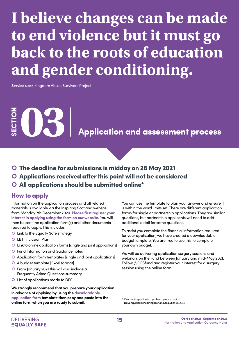# <span id="page-14-0"></span>**I believe changes can be made to end violence but it must go back to the roots of education and gender conditioning.**

**Service user,** Kingdom Abuse Survivors Project

**SECTION Application and assessment process** 

- The deadline for submissions is midday on 28 May 2021
- Applications received after this point will not be considered
- All applications should be submitted online\*

### How to apply

Information on the application process and all related materials is available via the Inspiring Scotland website from Monday 7th December 2020. **[Please first register your](https://www.inspiringscotland.org.uk/what-we-do/our-funds/delivering-equally-safe/)  [interest in applying using the form on our website.](https://www.inspiringscotland.org.uk/what-we-do/our-funds/delivering-equally-safe/)** You will then be sent the application form(s) and other documents required to apply. This includes:

- Link to the Equally Safe strategy
- **O** LBTI Inclusion Plan
- Link to online application forms [single and joint applications]
- **O** Fund Information and Guidance notes
- Application form templates [single and joint applications]
- A budget template [Excel format]
- **O** From January 2021 this will also include a Frequently Asked Questions summary
- List of applications made to DES

**We strongly recommend that you prepare your application in advance of applying by using the [downloadable](https://www.inspiringscotland.org.uk/what-we-do/our-funds/delivering-equally-safe/applying-to-delivering-equally-safe/ )  [application form](https://www.inspiringscotland.org.uk/what-we-do/our-funds/delivering-equally-safe/applying-to-delivering-equally-safe/ ) template then copy and paste into the online form when you are ready to submit.** 

You can use the template to plan your answer and ensure it is within the word limits set. There are different application forms for single or partnership applications. They ask similar questions, but partnership applicants will need to add additional detail for some questions.

To assist you complete the financial information required for your application, we have created a downloadable budget template. You are free to use this to complete your own budget.

We will be delivering application surgery sessions and webinars on the Fund between January and mid-May 2021. Follow @DESfund and register your interest for a surgery session using the online form[.](mailto:desenquiries%40inspiringscotland.org.uk%20?subject=)

\* If submitting online is a problem please contact **DESenquiries@inspiringscotland.org.uk** to discuss.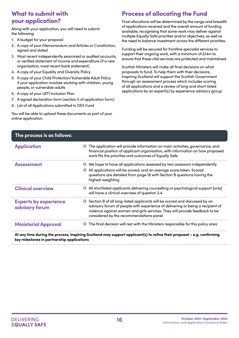# <span id="page-15-0"></span>What to submit with your application?

Along with your application, you will need to submit the following:

- 1. A budget for your proposal
- 2. A copy of your Memorandum and Articles or Constitution, signed and dated
- 3. Most recent independently examined or audited accounts, or verified statement of income and expenditure (if a new organisation, most recent bank statement)
- 4. A copy of your Equality and Diversity Policy
- 5. A copy of your Child Protection/Vulnerable Adult Policy if your application involves working with children, young people, or vulnerable adults
- 6. A copy of your LBTI Inclusion Plan
- 7. A signed declaration form (section 5 of application form)
- 8. List of all Applications submitted to DES Fund

You will be able to upload these documents as part of your online application.

# Process of allocating the Fund

Final allocations will be determined by the range and breadth of applications received and the overall amount of funding available, recognising that some work may deliver against multiple Equally Safe priorities and/or objectives, as well as the need to balance investment across the different priorities.

Funding will be secured for frontline specialist services to support their ongoing work, with a minimum of £14m to ensure that these vital services are protected and maintained.

Scottish Ministers will make all final decisions on what proposals to fund. To help them with their decisions, Inspiring Scotland will support the Scottish Government through an assessment process which includes scoring of all applications and a review of long and short-listed applications by an expert(s) by experience advisory group.

| The process is as follows:                     |                                                                                                                                                                                                                                                                                          |
|------------------------------------------------|------------------------------------------------------------------------------------------------------------------------------------------------------------------------------------------------------------------------------------------------------------------------------------------|
| <b>Application</b>                             | The application will provide information on main activities, governance, and<br>$\mathbf{O}$<br>financial position of applicant organisation, with information on how proposed<br>work fits the priorities and outcomes of Equally Safe                                                  |
| <b>Assessment</b>                              | We hope to have all applications assessed by two assessors independently<br>All applications will be scored, and an average score taken. Scored<br>questions are detailed from page 18 with Section B questions having the<br>highest weighting                                          |
| <b>Clinical overview</b>                       | • All shortlisted applicants delivering counselling or psychological support [only]<br>will have a clinical overview of question 3.4                                                                                                                                                     |
| <b>Experts by experience</b><br>advisory forum | O Section B of all long-listed applicants will be scored and discussed by an<br>advisory forum of people with experience of delivering or being a recipient of<br>violence against women and girls services. They will provide feedback to be<br>considered by the recommendations panel |
| <b>Ministerial Approval</b>                    | <b>O</b> The final decision will rest with the Ministers responsible for this policy area                                                                                                                                                                                                |
|                                                | At any time during the process, Inspiring Scotland may support applicant(s) to refine their proposal – e.g. confirming                                                                                                                                                                   |

**key milestones in partnership applications**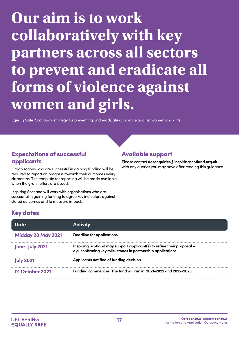# <span id="page-16-0"></span>**Our aim is to work collaboratively with key partners across all sectors to prevent and eradicate all forms of violence against women and girls.**

**Equally Safe:** Scotland's strategy for preventing and eradicating violence against women and girls

# Expectations of successful applicants

Organisations who are successful in gaining funding will be required to report on progress towards their outcomes every six months. The template for reporting will be made available when the arant letters are issued.

Inspiring Scotland will work with organisations who are successful in gaining funding to agree key indicators against stated outcomes and to measure impact.

# Available support

Please contact **desenquiries@inspiringscotland.org.uk** with any queries you may have after reading this guidance.

# Key dates

| Date                      | <b>Activity</b>                                                                                                                       |
|---------------------------|---------------------------------------------------------------------------------------------------------------------------------------|
| <b>Midday 28 May 2021</b> | <b>Deadline for applications</b>                                                                                                      |
| June-July 2021            | Inspiring Scotland may support applicant(s) to refine their proposal –<br>e.g. confirming key mile-stones in partnership applications |
| <b>July 2021</b>          | Applicants notified of funding decision                                                                                               |
| 01 October 2021           | Funding commences. The fund will run in 2021-2022 and 2022-2023                                                                       |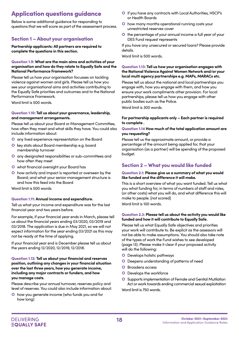# <span id="page-17-0"></span>Application questions guidance

Below is some additional guidance for responding to questions that we will score as part of the assessment process.

## Section 1 – About your organisation

**Partnership applicants: All partners are required to complete the questions in this section.**

### Question 1.9: **What are the main aims and activities of your organisation and how do they relate to Equally Safe and the National Performance Framework?**

Please tell us how your organisation focusses on tackling violence against women and girls. Please tell us how you see your organisational aims and activities contributing to the Equally Safe priorities and outcomes and to the National Performance Framework.

Word limit is 500 words.

### Question 1.10: **Tell us about your governance, leadership, and management arrangements.**

Please tell us about your Board or Management Committee, how often they meet and what skills they have. You could also include information about:

- **O** any lived experience representation on the Board
- **O** key stats about Board membership e.g. board membership turnover
- any designated responsibilities or sub-committees and how often they meet
- what financial oversight your Board has
- how activity and impact is reported or overseen by the Board; and what your senior management structure is and how this feed into the Board

Word limit is 500 words.

### Question 1.11: **Annual income and expenditure.**

Tell us what your income and expenditure was for the last financial year and two years before.

For example, if your financial year ends in March, please tell us about the financial years ending 03/2020, 03/2019 and 03/2018. The application is due in May 2021, so we will not expect information for the year ending 03/2021 as this may not be ready at the time of applying.

If your financial year end is December please tell us about the years ending 12/2020, 12/2019, 12/2018.

### Question 1.12: **Tell us about your financial and reserves position, outlining any changes in your financial situation over the last three years, how you generate income, including any major contracts or funders, and how you manage costs.**

Please describe your annual turnover, reserves policy and level of reserves. You could also include information about:

 how you generate income (who funds you and for how long)

- if you have any contracts with Local Authorities, HSCP's or Health Boards
- **O** how many months operational running costs your unrestricted reserves cover
- **O** the percentage of your annual income a full year of your DES Fund request represents

If you have any unsecured or secured loans? Please provide details.

Word limit is 500 words.

### Question 1.13: **Tell us how your organisation engages with the National Violence Against Women Network and/or your local multi agency partnerships e.g. MAPs, MARACs etc.**

Please tell us about the national and local partnerships you engage with, how you engage with them, and how you ensure your work compliments other provision. For local partnerships, please tell us how you engage with other public bodies such as the Police.

Word limit is 300 words.

### **For partnership applicants only – Each partner is required to complete .**

### Question 1.14 **How much of the total application amount are you requesting?**

Please tell us the approximate amount, or provide a percentage of the amount being applied for, that your organisation (as a partner) will be spending of the proposed budget.

## Section 2 – What you would like funded

### Question 2.1: **Please give us a summary of what you would like funded and the difference it will make.**

This is a short overview of what you want funded. Tell us what you what funding for, in terms of numbers of staff and roles, (or other costs) what you will do, and what difference this will make to people. [not scored] Word limit is 100 words.

Question 2.3: **Please tell us about the activity you would like funded and how it will contribute to Equally Safe.** 

Please tell us what Equally Safe objectives and priorities your work will contribute to. Be explicit as the assessors will not be able to make assumptions. You should also take note of the types of work the Fund wishes to see developed (page 13). Please make it clear if your proposed activity will do the following:

- **O** Develops holistic pathways
- Deepens understanding of patterns of need
- **O** Broadens access
- **O** Develops the workforce
- **O** Supports implementation of Female and Genital Mutilation Act or work towards ending commercial sexual exploitation

Word limit is 750 words.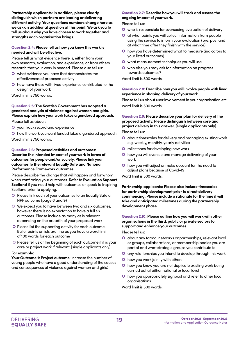**Partnership applicants: In addition, please clearly distinguish which partners are leading or delivering different activity. Your questions numbers change here as we ask an additional question at this point. We ask you to tell us about why you have chosen to work together and strengths each organisation brings.** 

### Question 2.4: **Please tell us how you know this work is needed and will be effective.**

Please tell us what evidence there is, either from your own research, evaluation, and experience, or from others research that your work is needed. Please also tell us:

- what evidence you have that demonstrates the effectiveness of proposed activity
- **O** how have those with lived experience contributed to the design of your work

Word limit is 750 words.

### Question 2.5: **The Scottish Government has adopted a gendered analysis of violence against women and girls. Please explain how your work takes a gendered approach.**

Please tell us about:

- your track record and experience
- **O** how the work you want funded takes a gendered approach Word limit is 750 words.

### Question 2.6: **Proposed activities and outcomes: Describe the intended impact of your work in terms of outcomes for people and/or society. Please link your outcomes to the relevant Equally Safe and National Performance Framework outcomes.**

Please describe the change that will happen and for whom when confirming your outcomes. Refer to **Evaluation Support Scotland** if you need help with outcomes or speak to Inspiring Scotland prior to applying.

- **O** Please link each of your outcomes to an Equally Safe or NPF outcome (page 6 and 9)
- We expect you to have between two and six outcomes, however there is no expectation to have a full six outcomes. Please include as many as is relevant depending on the breadth of your proposed work
- **O** Please list the supporting activity for each outcome. Bullet points or lists are fine as you have a word limit of 100 words for each outcome
- O Please tell us at the beginning of each outcome if it is your core or project work if relevant. [single applicants only]

### **For example:**

**Your Outcome 1: Project outcome** 'Increase the number of young people who have a good understanding of the causes and consequences of violence against women and girls'.

### Question 2.7: **Describe how you will track and assess the ongoing impact of your work.**

Please tell us:

- who is responsible for overseeing evaluation of delivery
- at what points you will collect information from people using the service to inform your evaluation (pre, post and at what time after they finish with the service)
- how you have determined what to measure (indicators to your listed outcomes)
- **O** what measurement techniques you will use
- who else you may ask for information on progress towards outcomes?

Word limit is 500 words.

### Question 2.8: **Describe how you will involve people with lived experience in shaping delivery of your work.**

Please tell us about user involvement in your organisation etc. Word limit is 500 words.

### Question 2.9: **Please describe your plan for delivery of the proposed activity. Please distinguish between core and project delivery in this answer. [single applicants only]**

Please tell us:

- about timescales for delivery and managing existing work e.g. weekly, monthly, yearly activities
- **O** milestones for developing new work
- **O** how you will oversee and manage delivering of your work
- how you will adjust or make account for the need to adjust plans because of Covid-19

Word limit is 500 words.

**Partnership applicants: Please also include timescales for partnership development prior to direct delivery commencing. Please include a rationale for the time it will take and anticipated milestones during the partnership development phase.** 

Question 2.10: **Please outline how you will work with other organisations in the third, public or private sectors to support and enhance your outcomes.**

Please tell us:

- about any formal networks or partnerships, relevant local or groups, collaborations, or membership bodies you are part of and what strategic groups you contribute to
- any relationships you intend to develop through this work
- **O** how you work jointly with others
- **O** how you know you are not duplicate existing work being carried out at either national or local level
- how you appropriately signpost and refer to other local organisations

Word limit is 500 words.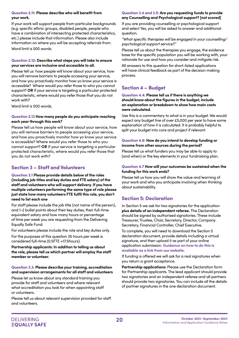### Question 2.11: **Please describe who will benefit from your work.**

If your work will support people from particular backgrounds (e.g. specific ethnic groups, disabled people, people who have a combination of intersecting protected characteristics, etc.) please include that information. Please also include information on where you will be accepting referrals from. Word limit is 500 words.

### Question 2.12: **Describe what steps you will take to ensure your services are inclusive and accessible to all.**

Please tell us how people will know about your service, how you will remove barriers to people accessing your service, and how you proactively monitor how yo know your service is accessible? Where would you refer those to who you cannot support? OR If your service is targeting a particular protected characteristic, where would you refer those that you do not work with?

Word limit is 500 words.

### Question 2.13 **How many people do you anticipate reaching each year through this work?**

Please tell us how people will know about your service, how you will remove barriers to people accessing your service, and how you proactively monitor how yo know your service is accessible? Where would you refer those to who you cannot support? **OR** If your service is targeting a particular protected characteristic, where would you refer those that you do not work with?

### Section 3 – Staff and Volunteers

Question 3.1 **Please provide details below of the roles (including job titles and key duties and FTE salary) of the staff and volunteers who will support delivery. If you have multiple volunteers performing the same type of role please just state how many volunteers FTE fulfil this role, you don't need to list each one**

For staff please include the job title (not name of the person), and 1-2 bullet points about their key duties, their full-time equivalent salary and how many hours or percentage of time per week you are requesting from the Delivering Equally Safe Fund.

For volunteers please include the role and key duties only.

For the purposes of this question 35 hours per week is considered full-time (0.5FTE =17.5hours).

**Partnership applicants: In addition to telling us about the role, please tell us which partner will employ the staff member or volunteer.** 

### Question 3.3: **Please describe your training, accreditation and supervision arrangements for all staff and volunteers**

Please let us know about any standard training you provide for staff and volunteers and where relevant what accreditation you look for when appointing staff or volunteers.

Please tell us about relevant supervision provided for staff and volunteers.

### Question 3.4 and 3.5: **Are you requesting funds to provide any Counselling and Psychological support? [not scored]**

If you are providing counselling or psychological support and select Yes, you will be asked to answer and additional question.

*"What specific therapies will be engaged in your counselling/ psychological support service?."*

Please tell us about the therapies you engage, the evidence base for the specific population you will be working with, your rationale for use and how you consider and mitigate risk.

All answers to this question for short-listed applications will have clinical feedback as part of the decision making process.

### Section 4 – Budget

#### Question 4.4: **Please tell us if there is anything we should know about the figures in the budget, include an explanation or breakdown to show how main costs were calculated.**

Use this is a commentary to what is in your budget. We would expect any budget line of over £5,000 per year to have some explanation of how it is calculated. It is probably helpful to split your budget into core and project if relevant.

### Question 4.6: **How do you intend to develop funding or income from other sources during the period?**

Please tell us what funders you may be able to apply to (and when) or the key elements in your fundraising plan.

### Question 4.7 **How will your outcomes be sustained when the funding for this work ends?**

Please tell us how you will show the value and learning of your work and who you anticipate involving when thinking about sustainability.

### Section 5: Declaration

In Section 5 we ask for two signatories for the application **plus details of an independent referee.** The Declaration should be signed by authorised signatories. These include Treasurer, Trustee, Chair, Secretary, Director, Company Secretary, Financial Controller, Chief Executive.

To complete, you will need to download the Section 5 declaration document, provide details including a virtual signature, and then upload it as part of your online application submission. **[Guidance on how to do this is](https://www.inspiringscotland.org.uk/what-we-do/our-funds/delivering-equally-safe/applying-to-delivering-equally-safe/ )  [available as a link from our website.](https://www.inspiringscotland.org.uk/what-we-do/our-funds/delivering-equally-safe/applying-to-delivering-equally-safe/ )**

If funding is offered we will ask for a real signatures when you return a grant acceptance.

**Partnership applications:** Please use the Declaration form for Partnership applicants. The lead applicant should provide two signatories and an independent referee and all partners should provide two signatories. You can include all the details of partner signatures in the one declaration document.